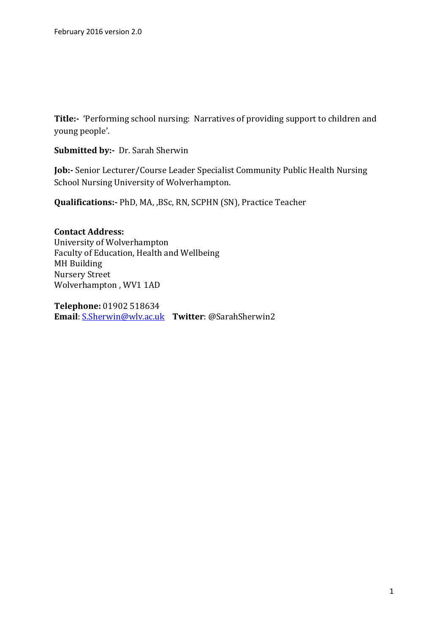**Title:-** 'Performing school nursing: Narratives of providing support to children and young people'.

**Submitted by:-** Dr. Sarah Sherwin

**Job:-** Senior Lecturer/Course Leader Specialist Community Public Health Nursing School Nursing University of Wolverhampton.

**Qualifications:-** PhD, MA, ,BSc, RN, SCPHN (SN), Practice Teacher

**Contact Address:**  University of Wolverhampton Faculty of Education, Health and Wellbeing MH Building Nursery Street Wolverhampton , WV1 1AD

**Telephone:** 01902 518634 **Email**: [S.Sherwin@wlv.ac.uk](https://exchcas.unv.wlv.ac.uk/owa/redir.aspx?SURL=9rAzXkMqpJwvp9az_uZkKVSW9F8ABYWTbsHI2p5kcbuwYRs2gTDTCG0AYQBpAGwAdABvADoAUwAuAFMAaABlAHIAdwBpAG4AQAB3AGwAdgAuAGEAYwAuAHUAawA.&URL=mailto%3aS.Sherwin%40wlv.ac.uk) **Twitter**: @SarahSherwin2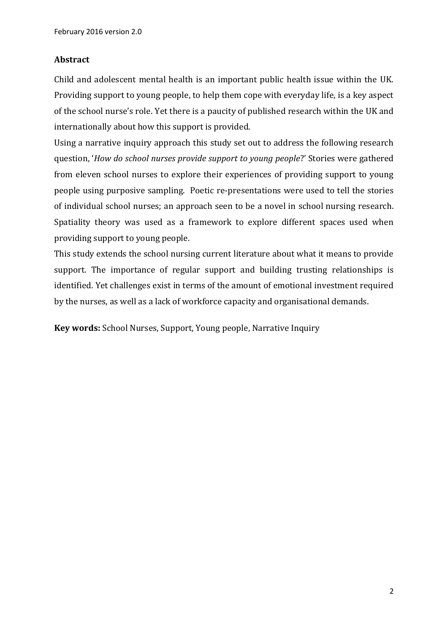## **Abstract**

Child and adolescent mental health is an important public health issue within the UK. Providing support to young people, to help them cope with everyday life, is a key aspect of the school nurse's role. Yet there is a paucity of published research within the UK and internationally about how this support is provided.

Using a narrative inquiry approach this study set out to address the following research question, '*How do school nurses provide support to young people*?' Stories were gathered from eleven school nurses to explore their experiences of providing support to young people using purposive sampling. Poetic re-presentations were used to tell the stories of individual school nurses; an approach seen to be a novel in school nursing research. Spatiality theory was used as a framework to explore different spaces used when providing support to young people.

This study extends the school nursing current literature about what it means to provide support. The importance of regular support and building trusting relationships is identified. Yet challenges exist in terms of the amount of emotional investment required by the nurses, as well as a lack of workforce capacity and organisational demands.

**Key words:** School Nurses, Support, Young people, Narrative Inquiry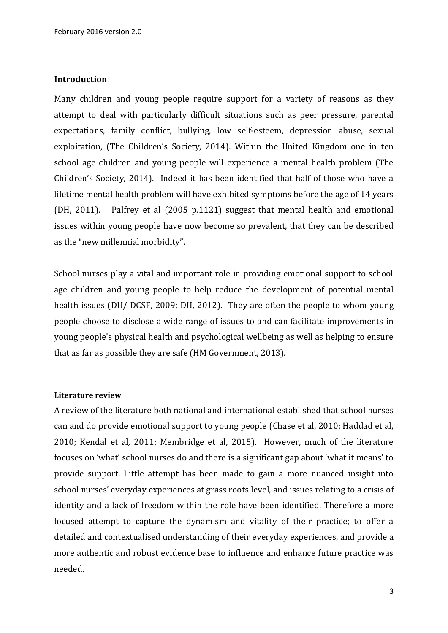#### **Introduction**

Many children and young people require support for a variety of reasons as they attempt to deal with particularly difficult situations such as peer pressure, parental expectations, family conflict, bullying, low self-esteem, depression abuse, sexual exploitation, (The Children's Society, 2014). Within the United Kingdom one in ten school age children and young people will experience a mental health problem (The Children's Society, 2014). Indeed it has been identified that half of those who have a lifetime mental health problem will have exhibited symptoms before the age of 14 years (DH, 2011). Palfrey et al (2005 p.1121) suggest that mental health and emotional issues within young people have now become so prevalent, that they can be described as the "new millennial morbidity".

School nurses play a vital and important role in providing emotional support to school age children and young people to help reduce the development of potential mental health issues (DH/ DCSF, 2009; DH, 2012). They are often the people to whom young people choose to disclose a wide range of issues to and can facilitate improvements in young people's physical health and psychological wellbeing as well as helping to ensure that as far as possible they are safe (HM Government, 2013).

#### **Literature review**

A review of the literature both national and international established that school nurses can and do provide emotional support to young people (Chase et al, 2010; Haddad et al, 2010; Kendal et al*,* 2011; Membridge et al, 2015). However, much of the literature focuses on 'what' school nurses do and there is a significant gap about 'what it means' to provide support. Little attempt has been made to gain a more nuanced insight into school nurses' everyday experiences at grass roots level, and issues relating to a crisis of identity and a lack of freedom within the role have been identified. Therefore a more focused attempt to capture the dynamism and vitality of their practice; to offer a detailed and contextualised understanding of their everyday experiences, and provide a more authentic and robust evidence base to influence and enhance future practice was needed.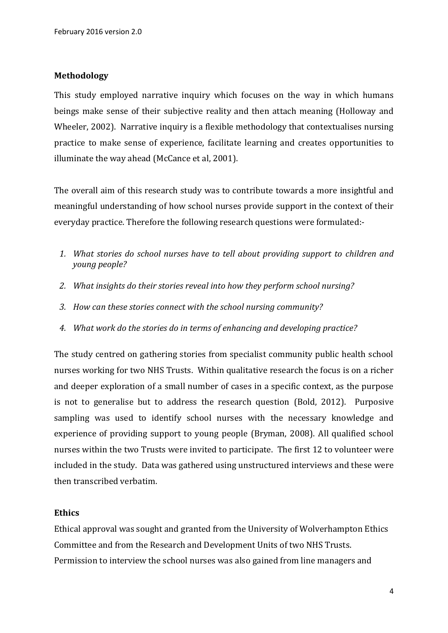### **Methodology**

This study employed narrative inquiry which focuses on the way in which humans beings make sense of their subjective reality and then attach meaning (Holloway and Wheeler, 2002). Narrative inquiry is a flexible methodology that contextualises nursing practice to make sense of experience, facilitate learning and creates opportunities to illuminate the way ahead (McCance et al, 2001).

The overall aim of this research study was to contribute towards a more insightful and meaningful understanding of how school nurses provide support in the context of their everyday practice. Therefore the following research questions were formulated:-

- *1. What stories do school nurses have to tell about providing support to children and young people?*
- *2. What insights do their stories reveal into how they perform school nursing?*
- *3. How can these stories connect with the school nursing community?*
- *4. What work do the stories do in terms of enhancing and developing practice?*

The study centred on gathering stories from specialist community public health school nurses working for two NHS Trusts. Within qualitative research the focus is on a richer and deeper exploration of a small number of cases in a specific context, as the purpose is not to generalise but to address the research question (Bold, 2012). Purposive sampling was used to identify school nurses with the necessary knowledge and experience of providing support to young people (Bryman, 2008). All qualified school nurses within the two Trusts were invited to participate. The first 12 to volunteer were included in the study. Data was gathered using unstructured interviews and these were then transcribed verbatim.

### **Ethics**

Ethical approval was sought and granted from the University of Wolverhampton Ethics Committee and from the Research and Development Units of two NHS Trusts. Permission to interview the school nurses was also gained from line managers and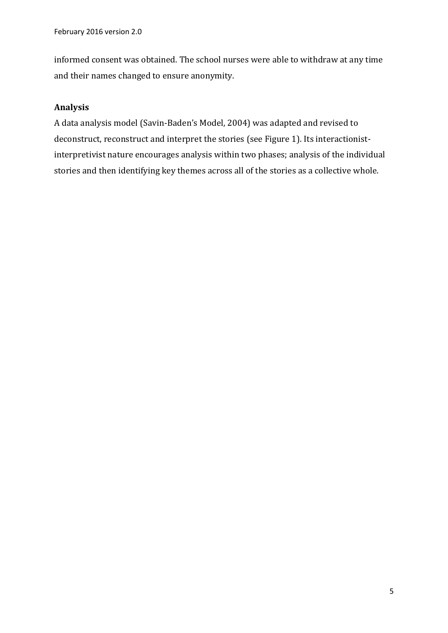informed consent was obtained. The school nurses were able to withdraw at any time and their names changed to ensure anonymity.

# **Analysis**

A data analysis model (Savin-Baden's Model, 2004) was adapted and revised to deconstruct, reconstruct and interpret the stories (see Figure 1). Its interactionistinterpretivist nature encourages analysis within two phases; analysis of the individual stories and then identifying key themes across all of the stories as a collective whole.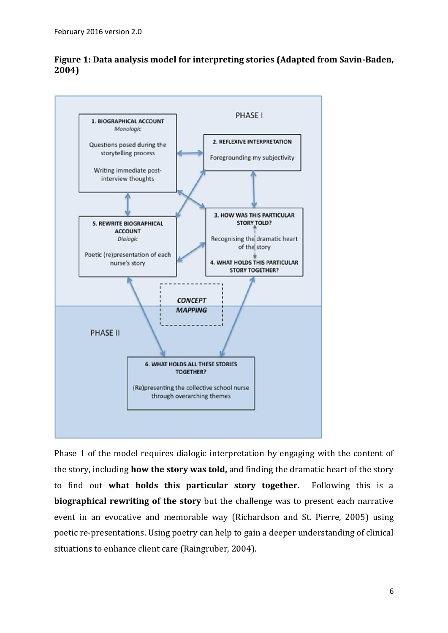

(Re)presenting the collective school nurse through overarching themes

# **Figure 1: Data analysis model for interpreting stories (Adapted from Savin-Baden, 2004)**

Phase 1 of the model requires dialogic interpretation by engaging with the content of the story, including **how the story was told,** and finding the dramatic heart of the story to find out **what holds this particular story together.** Following this is a **biographical rewriting of the story** but the challenge was to present each narrative event in an evocative and memorable way (Richardson and St. Pierre, 2005) using poetic re-presentations. Using poetry can help to gain a deeper understanding of clinical situations to enhance client care (Raingruber, 2004).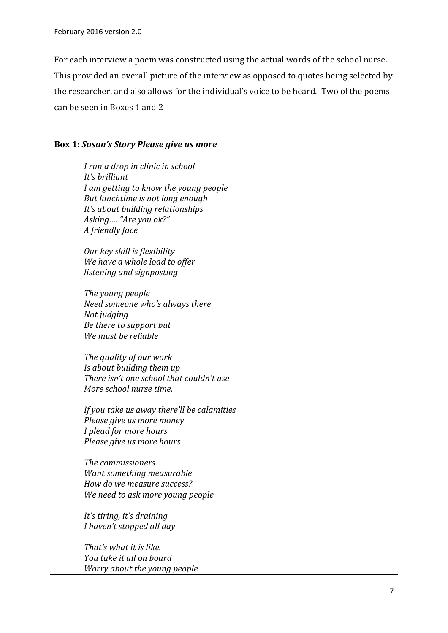For each interview a poem was constructed using the actual words of the school nurse. This provided an overall picture of the interview as opposed to quotes being selected by the researcher, and also allows for the individual's voice to be heard. Two of the poems can be seen in Boxes 1 and 2

#### **Box 1:** *Susan's Story Please give us more*

| I run a drop in clinic in school<br>It's brilliant |
|----------------------------------------------------|
| I am getting to know the young people              |
| But lunchtime is not long enough                   |
| It's about building relationships                  |
| Asking "Are you ok?"                               |
| A friendly face                                    |
| Our key skill is flexibility                       |
| We have a whole load to offer                      |
| listening and signposting                          |
| The young people                                   |
| Need someone who's always there                    |
| Not judging                                        |
| Be there to support but                            |
| We must be reliable                                |
| The quality of our work                            |
| Is about building them up                          |
| There isn't one school that couldn't use           |
| More school nurse time.                            |
| If you take us away there'll be calamities         |
| Please give us more money                          |
| I plead for more hours                             |
| Please give us more hours                          |
| The commissioners                                  |
| Want something measurable                          |
| How do we measure success?                         |
| We need to ask more young people                   |
| It's tiring, it's draining                         |
| I haven't stopped all day                          |
| That's what it is like.                            |
| You take it all on board                           |
| Worry about the young people                       |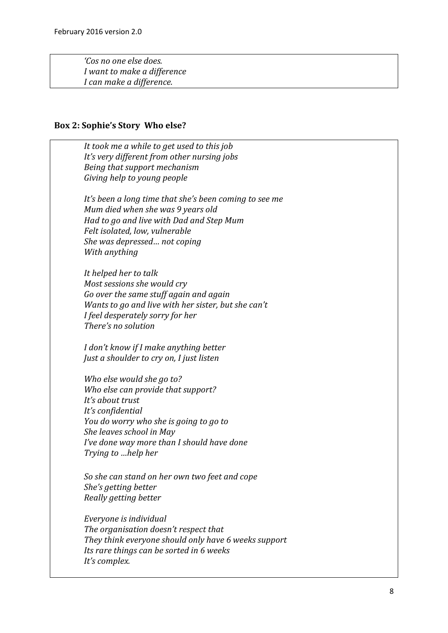*'Cos no one else does. I want to make a difference I can make a difference.*

#### **Box 2: Sophie's Story Who else?**

 *It took me a while to get used to this job It's very different from other nursing jobs Being that support mechanism Giving help to young people It's been a long time that she's been coming to see me Mum died when she was 9 years old Had to go and live with Dad and Step Mum Felt isolated, low, vulnerable She was depressed… not coping With anything It helped her to talk Most sessions she would cry Go over the same stuff again and again Wants to go and live with her sister, but she can't I feel desperately sorry for her There's no solution I don't know if I make anything better Just a shoulder to cry on, I just listen Who else would she go to? Who else can provide that support? It's about trust It's confidential You do worry who she is going to go to She leaves school in May I've done way more than I should have done Trying to …help her So she can stand on her own two feet and cope She's getting better Really getting better Everyone is individual The organisation doesn't respect that They think everyone should only have 6 weeks support Its rare things can be sorted in 6 weeks It's complex.*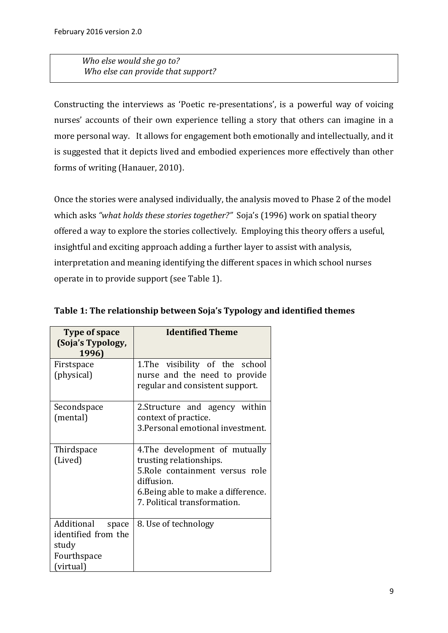*Who else would she go to? Who else can provide that support?*

Constructing the interviews as 'Poetic re-presentations', is a powerful way of voicing nurses' accounts of their own experience telling a story that others can imagine in a more personal way. It allows for engagement both emotionally and intellectually, and it is suggested that it depicts lived and embodied experiences more effectively than other forms of writing (Hanauer, 2010).

Once the stories were analysed individually, the analysis moved to Phase 2 of the model which asks *"what holds these stories together?"* Soja's (1996) work on spatial theory offered a way to explore the stories collectively. Employing this theory offers a useful, insightful and exciting approach adding a further layer to assist with analysis, interpretation and meaning identifying the different spaces in which school nurses operate in to provide support (see Table 1).

| <b>Type of space</b><br>(Soja's Typology,<br>1996)                              | <b>Identified Theme</b>                                                                                                                                                           |  |  |
|---------------------------------------------------------------------------------|-----------------------------------------------------------------------------------------------------------------------------------------------------------------------------------|--|--|
| Firstspace<br>(physical)                                                        | 1. The visibility of the school<br>nurse and the need to provide<br>regular and consistent support.                                                                               |  |  |
| Secondspace<br>(mental)                                                         | 2. Structure and agency within<br>context of practice.<br>3. Personal emotional investment.                                                                                       |  |  |
| Thirdspace<br>(Lived)                                                           | 4. The development of mutually<br>trusting relationships.<br>5. Role containment versus role<br>diffusion.<br>6. Being able to make a difference.<br>7. Political transformation. |  |  |
| Additional<br>space<br>identified from the<br>study<br>Fourthspace<br>(virtual) | 8. Use of technology                                                                                                                                                              |  |  |

**Table 1: The relationship between Soja's Typology and identified themes**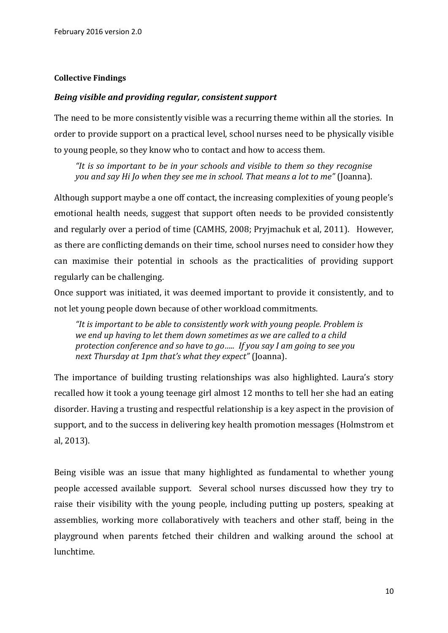#### **Collective Findings**

#### *Being visible and providing regular, consistent support*

The need to be more consistently visible was a recurring theme within all the stories. In order to provide support on a practical level, school nurses need to be physically visible to young people, so they know who to contact and how to access them.

*"It is so important to be in your schools and visible to them so they recognise you and say Hi Jo when they see me in school. That means a lot to me"* (Joanna).

Although support maybe a one off contact, the increasing complexities of young people's emotional health needs, suggest that support often needs to be provided consistently and regularly over a period of time (CAMHS, 2008; Pryjmachuk et al, 2011). However, as there are conflicting demands on their time, school nurses need to consider how they can maximise their potential in schools as the practicalities of providing support regularly can be challenging.

Once support was initiated, it was deemed important to provide it consistently, and to not let young people down because of other workload commitments.

*"It is important to be able to consistently work with young people. Problem is we end up having to let them down sometimes as we are called to a child protection conference and so have to go….. If you say I am going to see you next Thursday at 1pm that's what they expect"* (Joanna).

The importance of building trusting relationships was also highlighted. Laura's story recalled how it took a young teenage girl almost 12 months to tell her she had an eating disorder. Having a trusting and respectful relationship is a key aspect in the provision of support, and to the success in delivering key health promotion messages (Holmstrom et al, 2013).

Being visible was an issue that many highlighted as fundamental to whether young people accessed available support. Several school nurses discussed how they try to raise their visibility with the young people, including putting up posters, speaking at assemblies, working more collaboratively with teachers and other staff, being in the playground when parents fetched their children and walking around the school at lunchtime.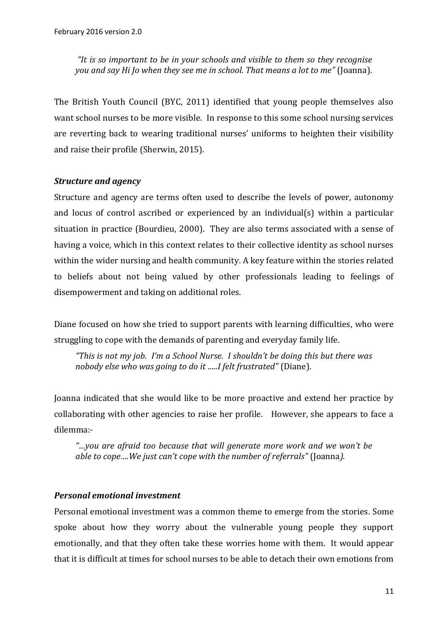*"It is so important to be in your schools and visible to them so they recognise you and say Hi Jo when they see me in school. That means a lot to me"* (Joanna).

The British Youth Council (BYC, 2011) identified that young people themselves also want school nurses to be more visible. In response to this some school nursing services are reverting back to wearing traditional nurses' uniforms to heighten their visibility and raise their profile (Sherwin, 2015).

### *Structure and agency*

Structure and agency are terms often used to describe the levels of power, autonomy and locus of control ascribed or experienced by an individual(s) within a particular situation in practice (Bourdieu, 2000). They are also terms associated with a sense of having a voice, which in this context relates to their collective identity as school nurses within the wider nursing and health community. A key feature within the stories related to beliefs about not being valued by other professionals leading to feelings of disempowerment and taking on additional roles.

Diane focused on how she tried to support parents with learning difficulties, who were struggling to cope with the demands of parenting and everyday family life.

*"This is not my job. I'm a School Nurse. I shouldn't be doing this but there was nobody else who was going to do it …..I felt frustrated"* (Diane).

Joanna indicated that she would like to be more proactive and extend her practice by collaborating with other agencies to raise her profile. However, she appears to face a dilemma:-

*"…you are afraid too because that will generate more work and we won't be able to cope….We just can't cope with the number of referrals"* (Joanna*).* 

## *Personal emotional investment*

Personal emotional investment was a common theme to emerge from the stories. Some spoke about how they worry about the vulnerable young people they support emotionally, and that they often take these worries home with them. It would appear that it is difficult at times for school nurses to be able to detach their own emotions from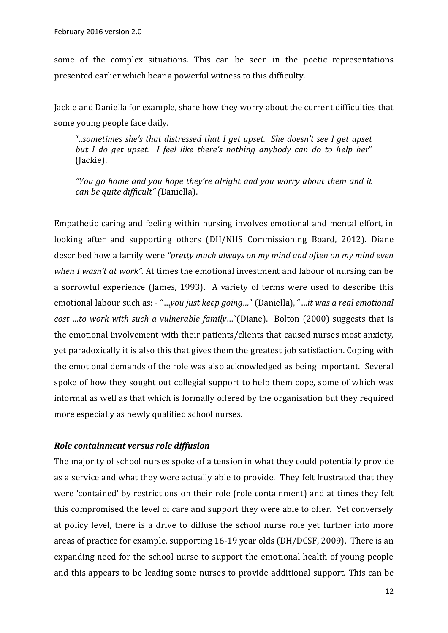some of the complex situations. This can be seen in the poetic representations presented earlier which bear a powerful witness to this difficulty.

Jackie and Daniella for example, share how they worry about the current difficulties that some young people face daily.

"..*sometimes she's that distressed that I get upset. She doesn't see I get upset but I do get upset. I feel like there's nothing anybody can do to help her*" (Jackie).

*"You go home and you hope they're alright and you worry about them and it can be quite difficult" (*Daniella).

Empathetic caring and feeling within nursing involves emotional and mental effort, in looking after and supporting others (DH/NHS Commissioning Board, 2012). Diane described how a family were *"pretty much always on my mind and often on my mind even when I wasn't at work".* At times the emotional investment and labour of nursing can be a sorrowful experience (James, 1993). A variety of terms were used to describe this emotional labour such as: - "…*you just keep going…*" (Daniella), "…*it was a real emotional cost …to work with such a vulnerable family*…"(Diane). Bolton (2000) suggests that is the emotional involvement with their patients/clients that caused nurses most anxiety, yet paradoxically it is also this that gives them the greatest job satisfaction. Coping with the emotional demands of the role was also acknowledged as being important. Several spoke of how they sought out collegial support to help them cope, some of which was informal as well as that which is formally offered by the organisation but they required more especially as newly qualified school nurses.

### *Role containment versus role diffusion*

The majority of school nurses spoke of a tension in what they could potentially provide as a service and what they were actually able to provide. They felt frustrated that they were 'contained' by restrictions on their role (role containment) and at times they felt this compromised the level of care and support they were able to offer. Yet conversely at policy level, there is a drive to diffuse the school nurse role yet further into more areas of practice for example, supporting 16-19 year olds (DH/DCSF, 2009). There is an expanding need for the school nurse to support the emotional health of young people and this appears to be leading some nurses to provide additional support. This can be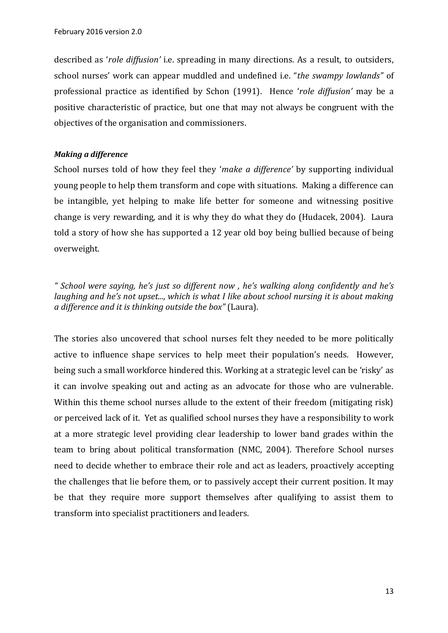described as '*role diffusion'* i.e. spreading in many directions. As a result, to outsiders, school nurses' work can appear muddled and undefined i.e. "*the swampy lowlands"* of professional practice as identified by Schon (1991). Hence '*role diffusion'* may be a positive characteristic of practice, but one that may not always be congruent with the objectives of the organisation and commissioners.

#### *Making a difference*

School nurses told of how they feel they '*make a difference'* by supporting individual young people to help them transform and cope with situations. Making a difference can be intangible, yet helping to make life better for someone and witnessing positive change is very rewarding, and it is why they do what they do (Hudacek, 2004). Laura told a story of how she has supported a 12 year old boy being bullied because of being overweight.

*" School were saying, he's just so different now , he's walking along confidently and he's laughing and he's not upset..., which is what I like about school nursing it is about making a difference and it is thinking outside the box"* (Laura).

The stories also uncovered that school nurses felt they needed to be more politically active to influence shape services to help meet their population's needs. However, being such a small workforce hindered this. Working at a strategic level can be 'risky' as it can involve speaking out and acting as an advocate for those who are vulnerable. Within this theme school nurses allude to the extent of their freedom (mitigating risk) or perceived lack of it. Yet as qualified school nurses they have a responsibility to work at a more strategic level providing clear leadership to lower band grades within the team to bring about political transformation (NMC, 2004). Therefore School nurses need to decide whether to embrace their role and act as leaders, proactively accepting the challenges that lie before them, or to passively accept their current position. It may be that they require more support themselves after qualifying to assist them to transform into specialist practitioners and leaders.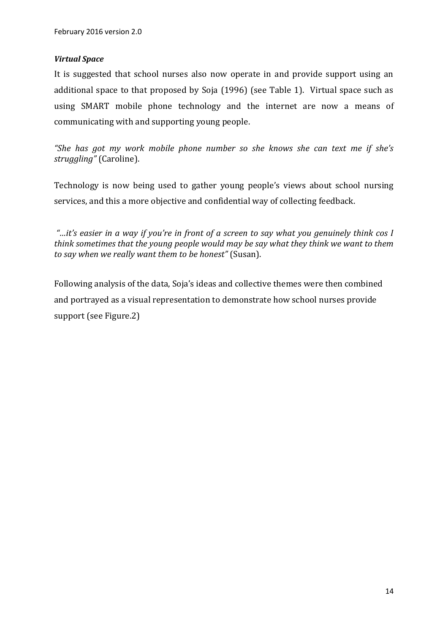### *Virtual Space*

It is suggested that school nurses also now operate in and provide support using an additional space to that proposed by Soja (1996) (see Table 1). Virtual space such as using SMART mobile phone technology and the internet are now a means of communicating with and supporting young people.

*"She has got my work mobile phone number so she knows she can text me if she's struggling"* (Caroline).

Technology is now being used to gather young people's views about school nursing services, and this a more objective and confidential way of collecting feedback.

*"…it's easier in a way if you're in front of a screen to say what you genuinely think cos I think sometimes that the young people would may be say what they think we want to them to say when we really want them to be honest"* (Susan).

Following analysis of the data, Soja's ideas and collective themes were then combined and portrayed as a visual representation to demonstrate how school nurses provide support (see Figure.2)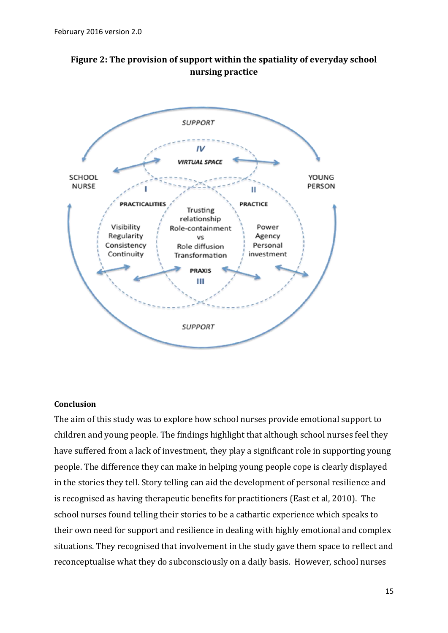



### **Conclusion**

The aim of this study was to explore how school nurses provide emotional support to children and young people. The findings highlight that although school nurses feel they have suffered from a lack of investment, they play a significant role in supporting young people. The difference they can make in helping young people cope is clearly displayed in the stories they tell. Story telling can aid the development of personal resilience and is recognised as having therapeutic benefits for practitioners (East et al, 2010). The school nurses found telling their stories to be a cathartic experience which speaks to their own need for support and resilience in dealing with highly emotional and complex situations. They recognised that involvement in the study gave them space to reflect and reconceptualise what they do subconsciously on a daily basis. However, school nurses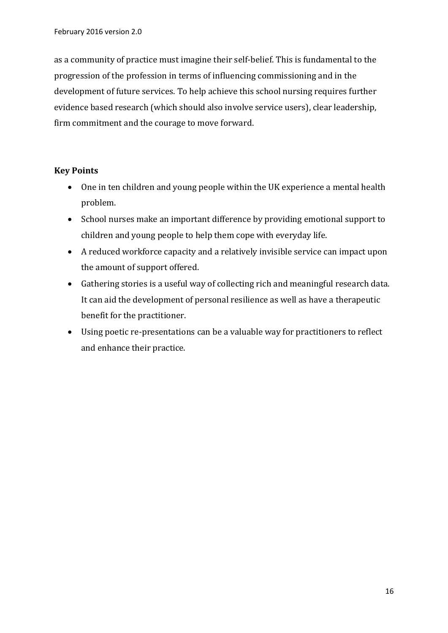as a community of practice must imagine their self-belief. This is fundamental to the progression of the profession in terms of influencing commissioning and in the development of future services. To help achieve this school nursing requires further evidence based research (which should also involve service users), clear leadership, firm commitment and the courage to move forward.

## **Key Points**

- One in ten children and young people within the UK experience a mental health problem.
- School nurses make an important difference by providing emotional support to children and young people to help them cope with everyday life.
- A reduced workforce capacity and a relatively invisible service can impact upon the amount of support offered.
- Gathering stories is a useful way of collecting rich and meaningful research data. It can aid the development of personal resilience as well as have a therapeutic benefit for the practitioner.
- Using poetic re-presentations can be a valuable way for practitioners to reflect and enhance their practice.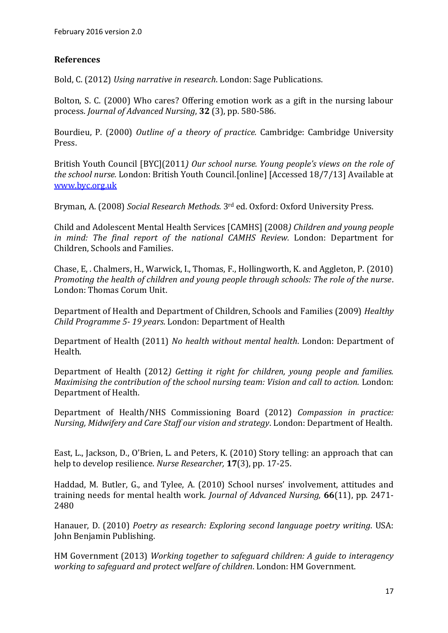# **References**

Bold, C. (2012) *Using narrative in research*. London: Sage Publications.

Bolton, S. C. (2000) Who cares? Offering emotion work as a gift in the nursing labour process. *Journal of Advanced Nursing*, **32** (3), pp. 580-586.

Bourdieu, P. (2000) *Outline of a theory of practice.* Cambridge: Cambridge University Press.

British Youth Council [BYC](2011*) Our school nurse. Young people's views on the role of the school nurse.* London: British Youth Council.[online] [Accessed 18/7/13] Available at [www.byc.org.uk](http://www.byc.org.uk/)

Bryman, A. (2008) *Social Research Methods.* 3rd ed. Oxford: Oxford University Press.

Child and Adolescent Mental Health Services [CAMHS] (2008*) Children and young people in mind: The final report of the national CAMHS Review.* London: Department for Children, Schools and Families.

Chase, E, . Chalmers, H., Warwick, I., Thomas, F., Hollingworth, K. and Aggleton, P. (2010) *Promoting the health of children and young people through schools: The role of the nurse*. London: Thomas Corum Unit.

Department of Health and Department of Children, Schools and Families (2009) *Healthy Child Programme 5- 19 years*. London: Department of Health

Department of Health (2011) *No health without mental health*. London: Department of Health.

Department of Health (2012*) Getting it right for children, young people and families. Maximising the contribution of the school nursing team: Vision and call to action.* London: Department of Health.

Department of Health/NHS Commissioning Board (2012) *Compassion in practice: Nursing, Midwifery and Care Staff our vision and strategy*. London: Department of Health.

East, L., Jackson, D., O'Brien, L. and Peters, K. (2010) Story telling: an approach that can help to develop resilience. *Nurse Researcher,* **17**(3), pp. 17-25.

Haddad, M. Butler, G., and Tylee, A. (2010) School nurses' involvement, attitudes and training needs for mental health work. *Journal of Advanced Nursing,* **66**(11), pp. 2471- 2480

Hanauer, D. (2010) *Poetry as research: Exploring second language poetry writing*. USA: John Benjamin Publishing.

HM Government (2013) *Working together to safeguard children: A guide to interagency working to safeguard and protect welfare of children*. London: HM Government.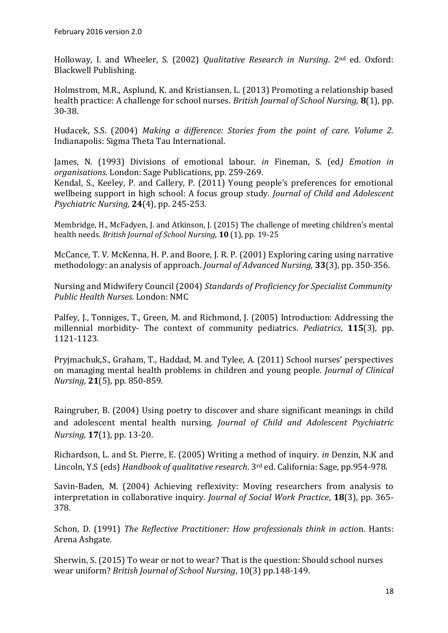Holloway, I. and Wheeler, S. (2002) *Qualitative Research in Nursing*. 2nd ed. Oxford: Blackwell Publishing.

Holmstrom, M.R., Asplund, K. and Kristiansen, L. (2013) Promoting a relationship based health practice: A challenge for school nurses. *British Journal of School Nursing,* **8**(1), pp. 30-38.

Hudacek, S.S. (2004) *Making a difference: Stories from the point of care. Volume 2.*  Indianapolis: Sigma Theta Tau International.

James, N. (1993) Divisions of emotional labour. *in* Fineman, S. (ed*) Emotion in organisations*. London: Sage Publications, pp. 259-269.

Kendal, S., Keeley, P. and Callery, P. (2011) Young people's preferences for emotional wellbeing support in high school: A focus group study*. Journal of Child and Adolescent Psychiatric Nursing,* **24**(4), pp. 245-253.

Membridge, H., McFadyen, J. and Atkinson, J. (2015) The challenge of meeting children's mental health needs. *British Journal of School Nursing*, **10** (1), pp. 19-25

McCance, T. V. McKenna, H. P. and Boore, J. R. P. (2001) Exploring caring using narrative methodology: an analysis of approach. *Journal of Advanced Nursing,* **33**(3), pp. 350-356.

Nursing and Midwifery Council (2004) *Standards of Proficiency for Specialist Community Public Health Nurses.* London: NMC

Palfey, J., Tonniges, T., Green, M. and Richmond, J. (2005) Introduction: Addressing the millennial morbidity- The context of community pediatrics. *Pediatrics*, **115**(3), pp. 1121-1123.

Pryjmachuk,S., Graham, T., Haddad, M. and Tylee, A. (2011) School nurses' perspectives on managing mental health problems in children and young people. *Journal of Clinical Nursing*, **21**(5), pp. 850-859.

Raingruber, B. (2004) Using poetry to discover and share significant meanings in child and adolescent mental health nursing. *Journal of Child and Adolescent Psychiatric Nursing,* **17**(1), pp. 13-20.

Richardson, L. and St. Pierre, E. (2005) Writing a method of inquiry. *in* Denzin, N.K and Lincoln, Y.S (eds) *Handbook of qualitative research*. 3rd ed. California: Sage, pp.954-978.

Savin-Baden, M. (2004) Achieving reflexivity: Moving researchers from analysis to interpretation in collaborative inquiry. *Journal of Social Work Practice*, **18**(3), pp. 365- 378.

Schon, D. (1991) *The Reflective Practitioner: How professionals think in actio*n. Hants: Arena Ashgate.

Sherwin, S. (2015) To wear or not to wear? That is the question: Should school nurses wear uniform? *British Journal of School Nursing*, 10(3) pp.148-149.